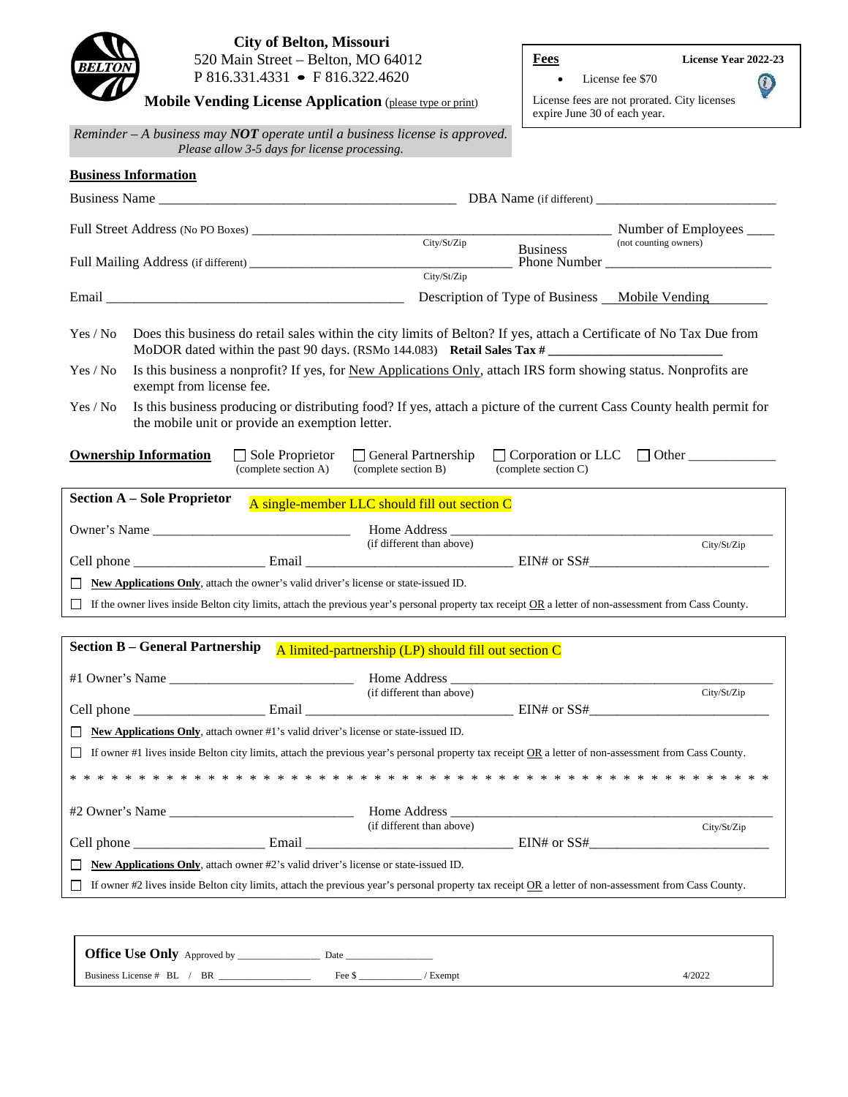

**Business Information**

**Mobile Vending License Application** (please type or print)

**Fees License Year 2022-23**

 $\bigcirc$ 

• License fee \$70

License fees are not prorated. City licenses expire June 30 of each year.

*Reminder – A business may NOT operate until a business license is approved. Please allow 3-5 days for license processing.*

|                                                                                                                                                                                                                               |                                                                                     | Number of Employees                    |  |
|-------------------------------------------------------------------------------------------------------------------------------------------------------------------------------------------------------------------------------|-------------------------------------------------------------------------------------|----------------------------------------|--|
|                                                                                                                                                                                                                               | City/St/Zip<br><b>Business</b><br>City/St/Zip                                       | (not counting owners)                  |  |
| Email and the contract of the contract of the contract of the contract of the contract of the contract of the contract of the contract of the contract of the contract of the contract of the contract of the contract of the | Description of Type of Business Mobile Vending                                      |                                        |  |
| Does this business do retail sales within the city limits of Belton? If yes, attach a Certificate of No Tax Due from<br>Yes / No                                                                                              |                                                                                     |                                        |  |
| Is this business a nonprofit? If yes, for New Applications Only, attach IRS form showing status. Nonprofits are<br>Yes / No<br>exempt from license fee.                                                                       |                                                                                     |                                        |  |
| Is this business producing or distributing food? If yes, attach a picture of the current Cass County health permit for<br>Yes / No<br>the mobile unit or provide an exemption letter.                                         |                                                                                     |                                        |  |
| <b>Ownership Information</b><br>$\Box$ Sole Proprietor<br>(complete section A)                                                                                                                                                | $\Box$ General Partnership<br>(complete section B)<br>$\text{(complete section C)}$ | $\Box$ Corporation or LLC $\Box$ Other |  |
| <b>Section A - Sole Proprietor</b>                                                                                                                                                                                            |                                                                                     |                                        |  |
|                                                                                                                                                                                                                               | A single-member LLC should fill out section C                                       |                                        |  |
| Owner's Name                                                                                                                                                                                                                  | (if different than above)                                                           | City/St/Zip                            |  |
|                                                                                                                                                                                                                               |                                                                                     |                                        |  |
| New Applications Only, attach the owner's valid driver's license or state-issued ID.                                                                                                                                          |                                                                                     |                                        |  |
| $\Box$ If the owner lives inside Belton city limits, attach the previous year's personal property tax receipt $\Omega$ R a letter of non-assessment from Cass County.                                                         |                                                                                     |                                        |  |
|                                                                                                                                                                                                                               |                                                                                     |                                        |  |
| <b>Section B - General Partnership</b><br>A limited-partnership (LP) should fill out section C                                                                                                                                |                                                                                     |                                        |  |
|                                                                                                                                                                                                                               |                                                                                     |                                        |  |
|                                                                                                                                                                                                                               | (if different than above)                                                           | City/St/Zip                            |  |
|                                                                                                                                                                                                                               |                                                                                     |                                        |  |
| New Applications Only, attach owner #1's valid driver's license or state-issued ID.                                                                                                                                           |                                                                                     |                                        |  |
| If owner #1 lives inside Belton city limits, attach the previous year's personal property tax receipt OR a letter of non-assessment from Cass County.                                                                         |                                                                                     |                                        |  |
|                                                                                                                                                                                                                               |                                                                                     |                                        |  |
|                                                                                                                                                                                                                               |                                                                                     |                                        |  |
|                                                                                                                                                                                                                               | (if different than above)                                                           | City/St/Zip                            |  |
|                                                                                                                                                                                                                               |                                                                                     |                                        |  |
| <b>New Applications Only,</b> attach owner #2's valid driver's license or state-issued ID.                                                                                                                                    |                                                                                     |                                        |  |
| If owner #2 lives inside Belton city limits, attach the previous year's personal property tax receipt OR a letter of non-assessment from Cass County.                                                                         |                                                                                     |                                        |  |

Office Use Only Approved by \_\_\_\_\_\_\_\_\_\_\_\_\_\_\_\_\_\_\_ Date \_ Business License # BL / BR \_\_\_\_\_\_\_\_\_\_\_\_\_\_\_\_\_\_\_ Fee \$ \_\_\_\_\_\_\_\_\_\_\_\_\_ / Exempt 4/2022